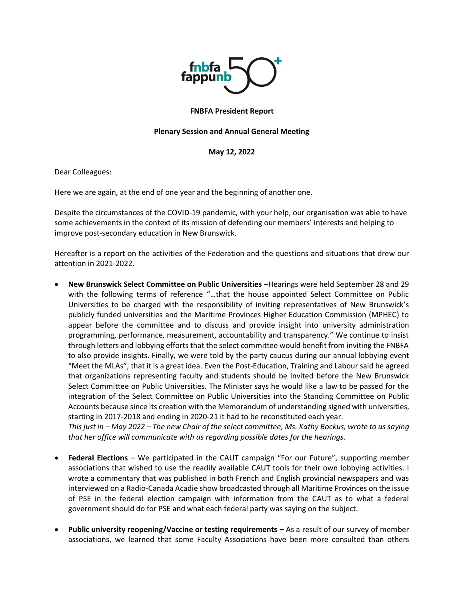

## **FNBFA President Report**

## **Plenary Session and Annual General Meeting**

### **May 12, 2022**

Dear Colleagues:

Here we are again, at the end of one year and the beginning of another one.

Despite the circumstances of the COVID-19 pandemic, with your help, our organisation was able to have some achievements in the context of its mission of defending our members' interests and helping to improve post-secondary education in New Brunswick.

Hereafter is a report on the activities of the Federation and the questions and situations that drew our attention in 2021-2022.

• **New Brunswick Select Committee on Public Universities** –Hearings were held September 28 and 29 with the following terms of reference "…that the house appointed Select Committee on Public Universities to be charged with the responsibility of inviting representatives of New Brunswick's publicly funded universities and the Maritime Provinces Higher Education Commission (MPHEC) to appear before the committee and to discuss and provide insight into university administration programming, performance, measurement, accountability and transparency." We continue to insist through letters and lobbying efforts that the select committee would benefit from inviting the FNBFA to also provide insights. Finally, we were told by the party caucus during our annual lobbying event "Meet the MLAs", that it is a great idea. Even the Post-Education, Training and Labour said he agreed that organizations representing faculty and students should be invited before the New Brunswick Select Committee on Public Universities. The Minister says he would like a law to be passed for the integration of the Select Committee on Public Universities into the Standing Committee on Public Accounts because since its creation with the Memorandum of understanding signed with universities, starting in 2017-2018 and ending in 2020-21 it had to be reconstituted each year.

*This just in – May 2022 – The new Chair of the select committee, Ms. Kathy Bockus, wrote to us saying that her office will communicate with us regarding possible dates for the hearings.*

- **Federal Elections** We participated in the CAUT campaign "For our Future", supporting member associations that wished to use the readily available CAUT tools for their own lobbying activities. I wrote a commentary that was published in both French and English provincial newspapers and was interviewed on a Radio-Canada Acadie show broadcasted through all Maritime Provinces on the issue of PSE in the federal election campaign with information from the CAUT as to what a federal government should do for PSE and what each federal party was saying on the subject.
- **Public university reopening/Vaccine or testing requirements –** As a result of our survey of member associations, we learned that some Faculty Associations have been more consulted than others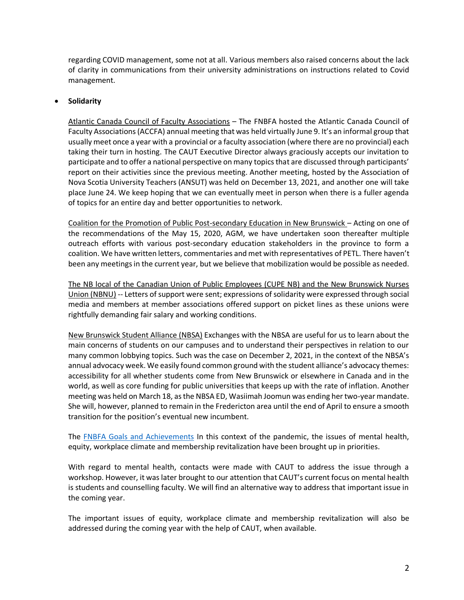regarding COVID management, some not at all. Various members also raised concerns about the lack of clarity in communications from their university administrations on instructions related to Covid management.

# • **Solidarity**

Atlantic Canada Council of Faculty Associations – The FNBFA hosted the Atlantic Canada Council of Faculty Associations (ACCFA) annual meeting that was held virtually June 9. It's an informal group that usually meet once a year with a provincial or a faculty association (where there are no provincial) each taking their turn in hosting. The CAUT Executive Director always graciously accepts our invitation to participate and to offer a national perspective on many topics that are discussed through participants' report on their activities since the previous meeting. Another meeting, hosted by the Association of Nova Scotia University Teachers (ANSUT) was held on December 13, 2021, and another one will take place June 24. We keep hoping that we can eventually meet in person when there is a fuller agenda of topics for an entire day and better opportunities to network.

Coalition for the Promotion of Public Post-secondary Education in New Brunswick – Acting on one of the recommendations of the May 15, 2020, AGM, we have undertaken soon thereafter multiple outreach efforts with various post-secondary education stakeholders in the province to form a coalition. We have written letters, commentaries and met with representatives of PETL. There haven't been any meetings in the current year, but we believe that mobilization would be possible as needed.

The NB local of the Canadian Union of Public Employees (CUPE NB) and the New Brunswick Nurses Union (NBNU) -- Letters of support were sent; expressions of solidarity were expressed through social media and members at member associations offered support on picket lines as these unions were rightfully demanding fair salary and working conditions.

New Brunswick Student Alliance (NBSA) Exchanges with the NBSA are useful for us to learn about the main concerns of students on our campuses and to understand their perspectives in relation to our many common lobbying topics. Such was the case on December 2, 2021, in the context of the NBSA's annual advocacy week. We easily found common ground with the student alliance's advocacy themes: accessibility for all whether students come from New Brunswick or elsewhere in Canada and in the world, as well as core funding for public universities that keeps up with the rate of inflation. Another meeting was held on March 18, as the NBSA ED, Wasiimah Joomun was ending her two-year mandate. She will, however, planned to remain in the Fredericton area until the end of April to ensure a smooth transition for the position's eventual new incumbent.

The [FNBFA Goals and Achievements](https://www.fnbfa.ca/goals-and-achievements/) In this context of the pandemic, the issues of mental health, equity, workplace climate and membership revitalization have been brought up in priorities.

With regard to mental health, contacts were made with CAUT to address the issue through a workshop. However, it was later brought to our attention that CAUT's current focus on mental health is students and counselling faculty. We will find an alternative way to address that important issue in the coming year.

The important issues of equity, workplace climate and membership revitalization will also be addressed during the coming year with the help of CAUT, when available.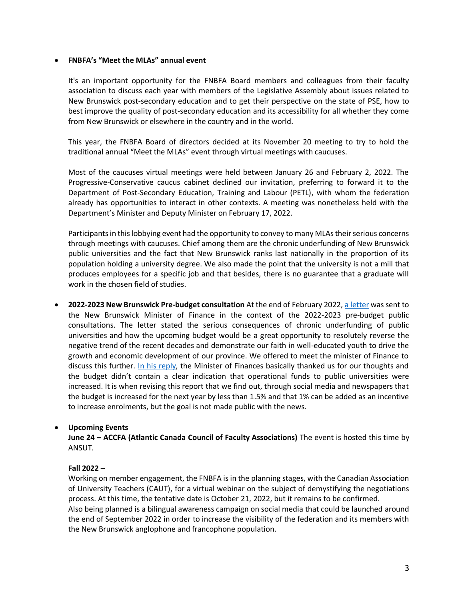### • **FNBFA's "Meet the MLAs" annual event**

It's an important opportunity for the FNBFA Board members and colleagues from their faculty association to discuss each year with members of the Legislative Assembly about issues related to New Brunswick post-secondary education and to get their perspective on the state of PSE, how to best improve the quality of post-secondary education and its accessibility for all whether they come from New Brunswick or elsewhere in the country and in the world.

This year, the FNBFA Board of directors decided at its November 20 meeting to try to hold the traditional annual "Meet the MLAs" event through virtual meetings with caucuses.

Most of the caucuses virtual meetings were held between January 26 and February 2, 2022. The Progressive-Conservative caucus cabinet declined our invitation, preferring to forward it to the Department of Post-Secondary Education, Training and Labour (PETL), with whom the federation already has opportunities to interact in other contexts. A meeting was nonetheless held with the Department's Minister and Deputy Minister on February 17, 2022.

Participants in this lobbying event had the opportunity to convey to many MLAs their serious concerns through meetings with caucuses. Chief among them are the chronic underfunding of New Brunswick public universities and the fact that New Brunswick ranks last nationally in the proportion of its population holding a university degree. We also made the point that the university is not a mill that produces employees for a specific job and that besides, there is no guarantee that a graduate will work in the chosen field of studies.

• **2022-2023 New Brunswick Pre-budget consultation** At the end of February 2022, [a letter](https://www.fnbfa.ca/wp-content/uploads/2022/02/lettre-FAPPUNB-fev-2022_consultation-prebudgetaire_prebudget-consultation-FNBFA-letter-Feb-2022.pdf) was sent to the New Brunswick Minister of Finance in the context of the 2022-2023 pre-budget public consultations. The letter stated the serious consequences of chronic underfunding of public universities and how the upcoming budget would be a great opportunity to resolutely reverse the negative trend of the recent decades and demonstrate our faith in well-educated youth to drive the growth and economic development of our province. We offered to meet the minister of Finance to discuss this further. [In his reply,](https://www.fnbfa.ca/wp-content/uploads/2022/04/Hector-Adegbidi-March-3-2022.pdf) the Minister of Finances basically thanked us for our thoughts and the budget didn't contain a clear indication that operational funds to public universities were increased. It is when revising this report that we find out, through social media and newspapers that the budget is increased for the next year by less than 1.5% and that 1% can be added as an incentive to increase enrolments, but the goal is not made public with the news.

## • **Upcoming Events**

**June 24 – ACCFA (Atlantic Canada Council of Faculty Associations)** The event is hosted this time by ANSUT.

## **Fall 2022** –

Working on member engagement, the FNBFA is in the planning stages, with the Canadian Association of University Teachers (CAUT), for a virtual webinar on the subject of demystifying the negotiations process. At this time, the tentative date is October 21, 2022, but it remains to be confirmed. Also being planned is a bilingual awareness campaign on social media that could be launched around the end of September 2022 in order to increase the visibility of the federation and its members with the New Brunswick anglophone and francophone population.